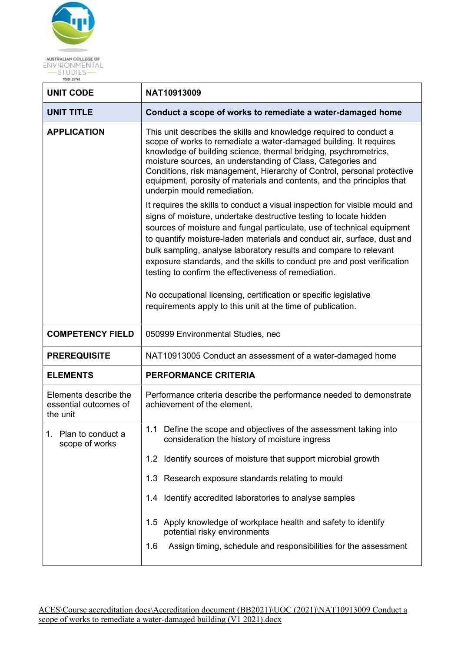

| <b>UNIT CODE</b>                                           | NAT10913009                                                                                                                                                                                                                                                                                                                                                                                                                                                                                                                                                                                                                                      |
|------------------------------------------------------------|--------------------------------------------------------------------------------------------------------------------------------------------------------------------------------------------------------------------------------------------------------------------------------------------------------------------------------------------------------------------------------------------------------------------------------------------------------------------------------------------------------------------------------------------------------------------------------------------------------------------------------------------------|
| <b>UNIT TITLE</b>                                          | Conduct a scope of works to remediate a water-damaged home                                                                                                                                                                                                                                                                                                                                                                                                                                                                                                                                                                                       |
| <b>APPLICATION</b>                                         | This unit describes the skills and knowledge required to conduct a<br>scope of works to remediate a water-damaged building. It requires<br>knowledge of building science, thermal bridging, psychrometrics,<br>moisture sources, an understanding of Class, Categories and<br>Conditions, risk management, Hierarchy of Control, personal protective<br>equipment, porosity of materials and contents, and the principles that<br>underpin mould remediation.                                                                                                                                                                                    |
|                                                            | It requires the skills to conduct a visual inspection for visible mould and<br>signs of moisture, undertake destructive testing to locate hidden<br>sources of moisture and fungal particulate, use of technical equipment<br>to quantify moisture-laden materials and conduct air, surface, dust and<br>bulk sampling, analyse laboratory results and compare to relevant<br>exposure standards, and the skills to conduct pre and post verification<br>testing to confirm the effectiveness of remediation.<br>No occupational licensing, certification or specific legislative<br>requirements apply to this unit at the time of publication. |
|                                                            |                                                                                                                                                                                                                                                                                                                                                                                                                                                                                                                                                                                                                                                  |
| <b>COMPETENCY FIELD</b>                                    | 050999 Environmental Studies, nec                                                                                                                                                                                                                                                                                                                                                                                                                                                                                                                                                                                                                |
| <b>PREREQUISITE</b>                                        | NAT10913005 Conduct an assessment of a water-damaged home                                                                                                                                                                                                                                                                                                                                                                                                                                                                                                                                                                                        |
| <b>ELEMENTS</b>                                            | <b>PERFORMANCE CRITERIA</b>                                                                                                                                                                                                                                                                                                                                                                                                                                                                                                                                                                                                                      |
| Elements describe the<br>essential outcomes of<br>the unit | Performance criteria describe the performance needed to demonstrate<br>achievement of the element.                                                                                                                                                                                                                                                                                                                                                                                                                                                                                                                                               |
| 1. Plan to conduct a<br>scope of works                     | 1.1 Define the scope and objectives of the assessment taking into<br>consideration the history of moisture ingress                                                                                                                                                                                                                                                                                                                                                                                                                                                                                                                               |
|                                                            | 1.2 Identify sources of moisture that support microbial growth                                                                                                                                                                                                                                                                                                                                                                                                                                                                                                                                                                                   |
|                                                            | 1.3 Research exposure standards relating to mould                                                                                                                                                                                                                                                                                                                                                                                                                                                                                                                                                                                                |
|                                                            | 1.4 Identify accredited laboratories to analyse samples                                                                                                                                                                                                                                                                                                                                                                                                                                                                                                                                                                                          |
|                                                            | 1.5 Apply knowledge of workplace health and safety to identify<br>potential risky environments                                                                                                                                                                                                                                                                                                                                                                                                                                                                                                                                                   |
|                                                            | Assign timing, schedule and responsibilities for the assessment<br>1.6                                                                                                                                                                                                                                                                                                                                                                                                                                                                                                                                                                           |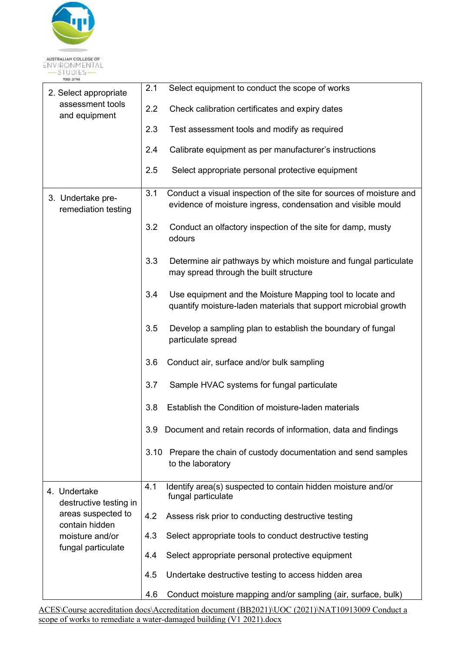

| 2. Select appropriate<br>assessment tools<br>and equipment                    | 2.1  | Select equipment to conduct the scope of works                                                                                      |
|-------------------------------------------------------------------------------|------|-------------------------------------------------------------------------------------------------------------------------------------|
|                                                                               | 2.2  | Check calibration certificates and expiry dates                                                                                     |
|                                                                               | 2.3  | Test assessment tools and modify as required                                                                                        |
|                                                                               | 2.4  | Calibrate equipment as per manufacturer's instructions                                                                              |
|                                                                               | 2.5  | Select appropriate personal protective equipment                                                                                    |
| 3. Undertake pre-<br>remediation testing                                      | 3.1  | Conduct a visual inspection of the site for sources of moisture and<br>evidence of moisture ingress, condensation and visible mould |
|                                                                               | 3.2  | Conduct an olfactory inspection of the site for damp, musty<br>odours                                                               |
|                                                                               | 3.3  | Determine air pathways by which moisture and fungal particulate<br>may spread through the built structure                           |
|                                                                               | 3.4  | Use equipment and the Moisture Mapping tool to locate and<br>quantify moisture-laden materials that support microbial growth        |
|                                                                               | 3.5  | Develop a sampling plan to establish the boundary of fungal<br>particulate spread                                                   |
|                                                                               | 3.6  | Conduct air, surface and/or bulk sampling                                                                                           |
|                                                                               | 3.7  | Sample HVAC systems for fungal particulate                                                                                          |
|                                                                               | 3.8  | Establish the Condition of moisture-laden materials                                                                                 |
|                                                                               |      | 3.9 Document and retain records of information, data and findings                                                                   |
|                                                                               | 3.10 | Prepare the chain of custody documentation and send samples<br>to the laboratory                                                    |
| 4. Undertake<br>destructive testing in                                        | 4.1  | Identify area(s) suspected to contain hidden moisture and/or<br>fungal particulate                                                  |
| areas suspected to<br>contain hidden<br>moisture and/or<br>fungal particulate | 4.2  | Assess risk prior to conducting destructive testing                                                                                 |
|                                                                               | 4.3  | Select appropriate tools to conduct destructive testing                                                                             |
|                                                                               | 4.4  | Select appropriate personal protective equipment                                                                                    |
|                                                                               | 4.5  | Undertake destructive testing to access hidden area                                                                                 |
|                                                                               | 4.6  | Conduct moisture mapping and/or sampling (air, surface, bulk)                                                                       |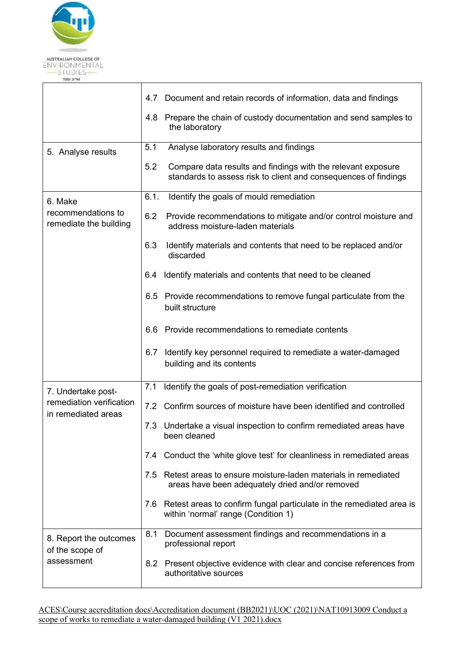

|                                                 |      | 4.7 Document and retain records of information, data and findings                                                               |
|-------------------------------------------------|------|---------------------------------------------------------------------------------------------------------------------------------|
|                                                 | 4.8  | Prepare the chain of custody documentation and send samples to<br>the laboratory                                                |
| 5. Analyse results                              | 5.1  | Analyse laboratory results and findings                                                                                         |
|                                                 | 5.2  | Compare data results and findings with the relevant exposure<br>standards to assess risk to client and consequences of findings |
| 6. Make                                         | 6.1. | Identify the goals of mould remediation                                                                                         |
| recommendations to<br>remediate the building    | 6.2  | Provide recommendations to mitigate and/or control moisture and<br>address moisture-laden materials                             |
|                                                 | 6.3  | Identify materials and contents that need to be replaced and/or<br>discarded                                                    |
|                                                 |      | 6.4 Identify materials and contents that need to be cleaned                                                                     |
|                                                 | 6.5  | Provide recommendations to remove fungal particulate from the<br>built structure                                                |
|                                                 | 6.6  | Provide recommendations to remediate contents                                                                                   |
|                                                 | 6.7  | Identify key personnel required to remediate a water-damaged<br>building and its contents                                       |
| 7. Undertake post-                              | 7.1  | Identify the goals of post-remediation verification                                                                             |
| remediation verification<br>in remediated areas |      | 7.2 Confirm sources of moisture have been identified and controlled                                                             |
|                                                 |      | 7.3 Undertake a visual inspection to confirm remediated areas have<br>been cleaned                                              |
|                                                 | 7.4  | Conduct the 'white glove test' for cleanliness in remediated areas                                                              |
|                                                 | 7.5  | Retest areas to ensure moisture-laden materials in remediated<br>areas have been adequately dried and/or removed                |
|                                                 | 7.6  | Retest areas to confirm fungal particulate in the remediated area is<br>within 'normal' range (Condition 1)                     |
| 8. Report the outcomes<br>of the scope of       | 8.1  | Document assessment findings and recommendations in a<br>professional report                                                    |
| assessment                                      |      | 8.2 Present objective evidence with clear and concise references from<br>authoritative sources                                  |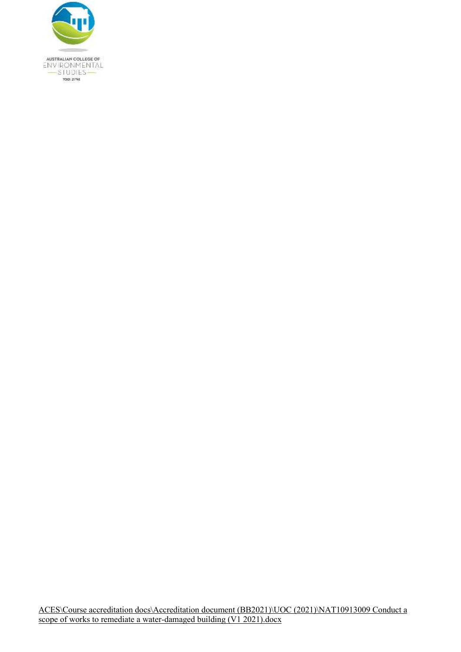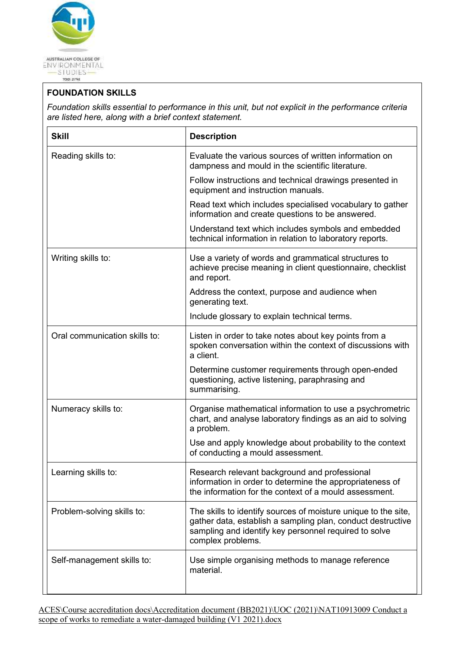

## **FOUNDATION SKILLS**

*Foundation skills essential to performance in this unit, but not explicit in the performance criteria are listed here, along with a brief context statement.* 

| <b>Skill</b>                  | <b>Description</b>                                                                                                                                                                                          |
|-------------------------------|-------------------------------------------------------------------------------------------------------------------------------------------------------------------------------------------------------------|
| Reading skills to:            | Evaluate the various sources of written information on<br>dampness and mould in the scientific literature.                                                                                                  |
|                               | Follow instructions and technical drawings presented in<br>equipment and instruction manuals.                                                                                                               |
|                               | Read text which includes specialised vocabulary to gather<br>information and create questions to be answered.                                                                                               |
|                               | Understand text which includes symbols and embedded<br>technical information in relation to laboratory reports.                                                                                             |
| Writing skills to:            | Use a variety of words and grammatical structures to<br>achieve precise meaning in client questionnaire, checklist<br>and report.                                                                           |
|                               | Address the context, purpose and audience when<br>generating text.                                                                                                                                          |
|                               | Include glossary to explain technical terms.                                                                                                                                                                |
| Oral communication skills to: | Listen in order to take notes about key points from a<br>spoken conversation within the context of discussions with<br>a client.                                                                            |
|                               | Determine customer requirements through open-ended<br>questioning, active listening, paraphrasing and<br>summarising.                                                                                       |
| Numeracy skills to:           | Organise mathematical information to use a psychrometric<br>chart, and analyse laboratory findings as an aid to solving<br>a problem.                                                                       |
|                               | Use and apply knowledge about probability to the context<br>of conducting a mould assessment.                                                                                                               |
| Learning skills to:           | Research relevant background and professional<br>information in order to determine the appropriateness of<br>the information for the context of a mould assessment.                                         |
| Problem-solving skills to:    | The skills to identify sources of moisture unique to the site,<br>gather data, establish a sampling plan, conduct destructive<br>sampling and identify key personnel required to solve<br>complex problems. |
| Self-management skills to:    | Use simple organising methods to manage reference<br>material.                                                                                                                                              |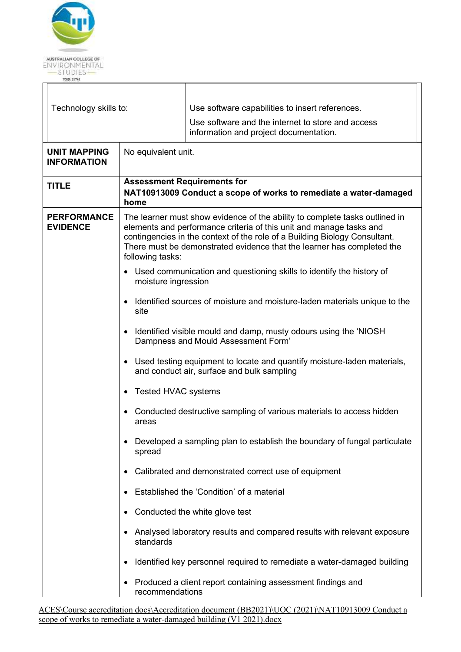

| Technology skills to:                     |                                                                                                                                                                          | Use software capabilities to insert references.<br>Use software and the internet to store and access<br>information and project documentation.                                                                                                                                                                                                                                                                                                                                                                                                                                                                                                                                                                                                                                                                                                                                                                                                                                                                                                                               |
|-------------------------------------------|--------------------------------------------------------------------------------------------------------------------------------------------------------------------------|------------------------------------------------------------------------------------------------------------------------------------------------------------------------------------------------------------------------------------------------------------------------------------------------------------------------------------------------------------------------------------------------------------------------------------------------------------------------------------------------------------------------------------------------------------------------------------------------------------------------------------------------------------------------------------------------------------------------------------------------------------------------------------------------------------------------------------------------------------------------------------------------------------------------------------------------------------------------------------------------------------------------------------------------------------------------------|
| <b>UNIT MAPPING</b><br><b>INFORMATION</b> | No equivalent unit.                                                                                                                                                      |                                                                                                                                                                                                                                                                                                                                                                                                                                                                                                                                                                                                                                                                                                                                                                                                                                                                                                                                                                                                                                                                              |
| <b>TITLE</b>                              | home                                                                                                                                                                     | <b>Assessment Requirements for</b><br>NAT10913009 Conduct a scope of works to remediate a water-damaged                                                                                                                                                                                                                                                                                                                                                                                                                                                                                                                                                                                                                                                                                                                                                                                                                                                                                                                                                                      |
| <b>PERFORMANCE</b><br><b>EVIDENCE</b>     | following tasks:<br>moisture ingression<br>$\bullet$<br>site<br>$\bullet$<br><b>Tested HVAC systems</b><br>٠<br>areas<br>٠<br>spread<br>٠<br>٠<br>$\bullet$<br>standards | The learner must show evidence of the ability to complete tasks outlined in<br>elements and performance criteria of this unit and manage tasks and<br>contingencies in the context of the role of a Building Biology Consultant.<br>There must be demonstrated evidence that the learner has completed the<br>• Used communication and questioning skills to identify the history of<br>Identified sources of moisture and moisture-laden materials unique to the<br>Identified visible mould and damp, musty odours using the 'NIOSH<br>Dampness and Mould Assessment Form'<br>Used testing equipment to locate and quantify moisture-laden materials,<br>and conduct air, surface and bulk sampling<br>Conducted destructive sampling of various materials to access hidden<br>Developed a sampling plan to establish the boundary of fungal particulate<br>Calibrated and demonstrated correct use of equipment<br>Established the 'Condition' of a material<br>Conducted the white glove test<br>Analysed laboratory results and compared results with relevant exposure |
|                                           | ٠<br>$\bullet$<br>recommendations                                                                                                                                        | Identified key personnel required to remediate a water-damaged building<br>Produced a client report containing assessment findings and                                                                                                                                                                                                                                                                                                                                                                                                                                                                                                                                                                                                                                                                                                                                                                                                                                                                                                                                       |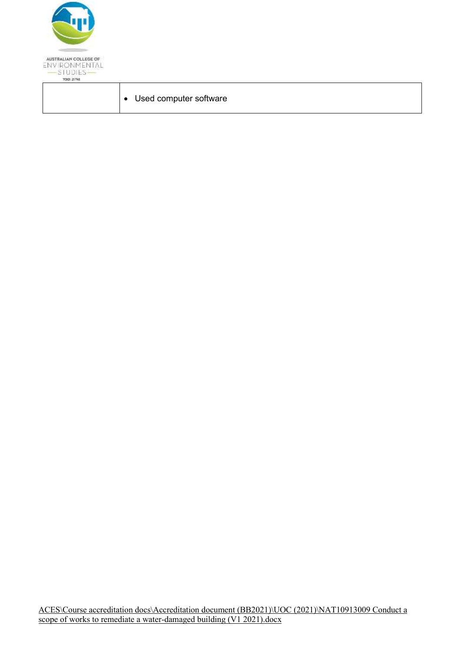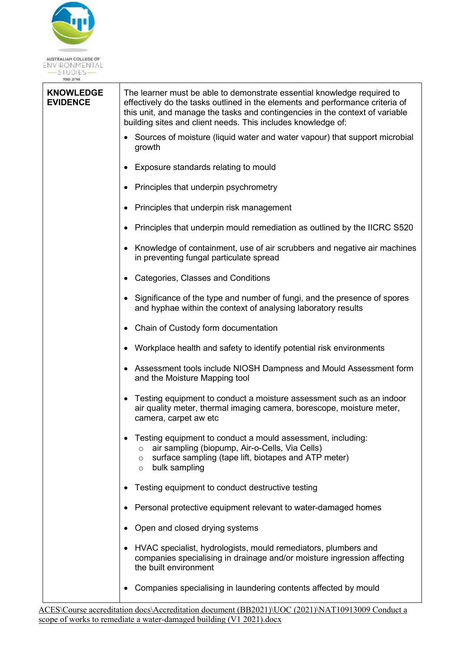

| <b>KNOWLEDGE</b><br><b>EVIDENCE</b> | The learner must be able to demonstrate essential knowledge required to<br>effectively do the tasks outlined in the elements and performance criteria of<br>this unit, and manage the tasks and contingencies in the context of variable<br>building sites and client needs. This includes knowledge of: |
|-------------------------------------|----------------------------------------------------------------------------------------------------------------------------------------------------------------------------------------------------------------------------------------------------------------------------------------------------------|
|                                     | Sources of moisture (liquid water and water vapour) that support microbial<br>growth                                                                                                                                                                                                                     |
|                                     | Exposure standards relating to mould                                                                                                                                                                                                                                                                     |
|                                     | Principles that underpin psychrometry                                                                                                                                                                                                                                                                    |
|                                     | Principles that underpin risk management                                                                                                                                                                                                                                                                 |
|                                     | Principles that underpin mould remediation as outlined by the IICRC S520                                                                                                                                                                                                                                 |
|                                     | Knowledge of containment, use of air scrubbers and negative air machines<br>$\bullet$<br>in preventing fungal particulate spread                                                                                                                                                                         |
|                                     | Categories, Classes and Conditions                                                                                                                                                                                                                                                                       |
|                                     | Significance of the type and number of fungi, and the presence of spores<br>and hyphae within the context of analysing laboratory results                                                                                                                                                                |
|                                     | Chain of Custody form documentation                                                                                                                                                                                                                                                                      |
|                                     | Workplace health and safety to identify potential risk environments                                                                                                                                                                                                                                      |
|                                     | Assessment tools include NIOSH Dampness and Mould Assessment form<br>$\bullet$<br>and the Moisture Mapping tool                                                                                                                                                                                          |
|                                     | Testing equipment to conduct a moisture assessment such as an indoor<br>air quality meter, thermal imaging camera, borescope, moisture meter,<br>camera, carpet aw etc                                                                                                                                   |
|                                     | Testing equipment to conduct a mould assessment, including:<br>air sampling (biopump, Air-o-Cells, Via Cells)<br>$\circ$<br>surface sampling (tape lift, biotapes and ATP meter)<br>$\circ$<br>$\circ$ bulk sampling                                                                                     |
|                                     | Testing equipment to conduct destructive testing                                                                                                                                                                                                                                                         |
|                                     | Personal protective equipment relevant to water-damaged homes                                                                                                                                                                                                                                            |
|                                     | Open and closed drying systems                                                                                                                                                                                                                                                                           |
|                                     | HVAC specialist, hydrologists, mould remediators, plumbers and<br>٠<br>companies specialising in drainage and/or moisture ingression affecting<br>the built environment                                                                                                                                  |
|                                     | Companies specialising in laundering contents affected by mould                                                                                                                                                                                                                                          |